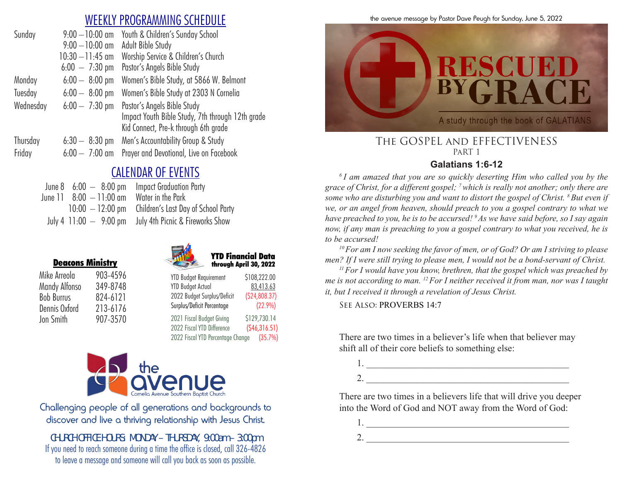# WEEKLY PROGRAMMING SCHEDULE

| Sunday    | $9:00 - 10:00$ am        | Youth & Children's Sunday School                 |
|-----------|--------------------------|--------------------------------------------------|
|           | $9:00 - 10:00$ am        | Adult Bible Study                                |
|           | $10:30 - 11:45$ am       | Worship Service & Children's Church              |
|           | $6:00 - 7:30 \text{ pm}$ | Pastor's Angels Bible Study                      |
| Monday    | $6:00 - 8:00$ pm         | Women's Bible Study, at 5866 W. Belmont          |
| Tuesday   | $6:00 - 8:00$ pm         | Women's Bible Study at 2303 N Cornelia           |
| Wednesday | $6:00 - 7:30$ pm         | Pastor's Angels Bible Study                      |
|           |                          | Impact Youth Bible Study, 7th through 12th grade |
|           |                          | Kid Connect, Pre-k through 6th grade             |
| Thursday  | $6:30 - 8:30$ pm         | Men's Accountability Group & Study               |
| Friday    | $6:00 - 7:00$ am         | Prayer and Devotional, Live on Facebook          |
|           |                          |                                                  |

# CALENDAR OF EVENTS

|                                                        | June $8\quad 6:00\;-\;8:00\;{\rm pm}$ Impact Graduation Party |
|--------------------------------------------------------|---------------------------------------------------------------|
| June $11 \quad 8:00 \quad -11:00$ am Water in the Park |                                                               |
|                                                        | $10:00 - 12:00$ pm Children's Last Day of School Party        |
|                                                        | July 4 11:00 - 9:00 pm July 4th Picnic & Fireworks Show       |

|                   | <b>Deacons Ministry</b> |
|-------------------|-------------------------|
| Mike Arreola      | 903-4596                |
| Mandy Alfonso     | 349-8748                |
| <b>Bob Burrus</b> | 824-6121                |
| Dennis Oxford     | 213-6176                |
| Jon Smith         | 907-3570                |





| <b>YTD Budget Requirement</b> | \$108,222.0  |
|-------------------------------|--------------|
| <b>YTD Budget Actual</b>      | 83,413.6     |
| 2022 Budget Surplus/Deficit   | (S24, 808.3) |
| Surplus/Deficit Percentage    | (22.9%       |

2021 Fiscal Budget Giving \$129,730.14 2022 Fiscal YTD Difference (\$46,316.51) 2022 Fiscal YTD Percentage Change (35.7%)



Challenging people of all generations and backgrounds to discover and live a thriving relationship with Jesus Christ.

*CHURCH OFFICE HOURS: MONDAY – THURSDAY, 9:00am – 3:00pm* If you need to reach someone during a time the office is closed, call 326-4826 to leave a message and someone will call you back as soon as possible.

the avenue message by Pastor Dave Peugh for Sunday, June 5, 2022



#### The GOSPEL and EFFECTIVENESS PaRT 1

#### **Galatians 1:6-12**

*6 I am amazed that you are so quickly deserting Him who called you by the grace of Christ, for a different gospel; <sup>7</sup>which is really not another; only there are some who are disturbing you and want to distort the gospel of Christ. 8 But even if we, or an angel from heaven, should preach to you a gospel contrary to what we have preached to you, he is to be accursed! 9 As we have said before, so I say again now, if any man is preaching to you a gospel contrary to what you received, he is to be accursed!* 

*<sup>10</sup>For am I now seeking the favor of men, or of God? Or am I striving to please men? If I were still trying to please men, I would not be a bond-servant of Christ.* 

*<sup>11</sup>For I would have you know, brethren, that the gospel which was preached by me is not according to man. 12 For I neither received it from man, nor was I taught it, but I received it through a revelation of Jesus Christ.*

See Also: PROVERBS 14:7

There are two times in a believer's life when that believer may shift all of their core beliefs to something else:

1. \_\_\_\_\_\_\_\_\_\_\_\_\_\_\_\_\_\_\_\_\_\_\_\_\_\_\_\_\_\_\_\_\_\_\_\_\_\_\_\_\_\_\_

2.

There are two times in a believers life that will drive you deeper into the Word of God and NOT away from the Word of God:

1. \_\_\_\_\_\_\_\_\_\_\_\_\_\_\_\_\_\_\_\_\_\_\_\_\_\_\_\_\_\_\_\_\_\_\_\_\_\_\_\_\_\_\_

2.